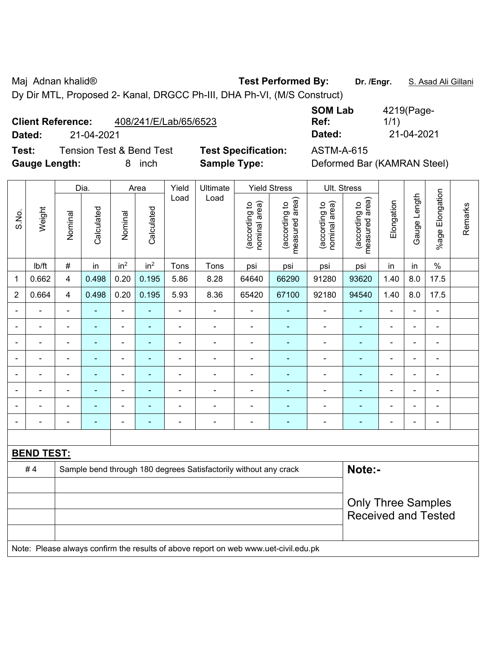Maj Adnan khalid® **Test Performed By: Dr. /Engr.** S. Asad Ali Gillani

Dy Dir MTL, Proposed 2- Kanal, DRGCC Ph-III, DHA Ph-VI, (M/S Construct)

## **Client Reference:** 408/241/E/Lab/65/6523

**Dated:** 21-04-2021 **Dated:** 21-04-2021

**Test:** Tension Test & Bend Test **Test Specification:** ASTM-A-615 **Gauge Length:** 8 inch **Sample Type:** Deformed Bar (KAMRAN Steel)

| <b>SOM Lab</b> | 4219(Page- |
|----------------|------------|
| Ref:           | 1/1)       |
| Dated:         | 21-04-2021 |

|                          |                   | Dia.                    |                | Area                         | Yield           | Ultimate                 |                                                                                     | <b>Yield Stress</b>            |                                 | Ult. Stress                    |                                 |                |                |                 |         |
|--------------------------|-------------------|-------------------------|----------------|------------------------------|-----------------|--------------------------|-------------------------------------------------------------------------------------|--------------------------------|---------------------------------|--------------------------------|---------------------------------|----------------|----------------|-----------------|---------|
| S.No.                    | Weight            | Nominal                 | Calculated     | Nominal                      | Calculated      | Load                     | Load                                                                                | nominal area)<br>(according to | (according to<br>measured area) | nominal area)<br>(according to | measured area)<br>(according to | Elongation     | Gauge Length   | %age Elongation | Remarks |
|                          | lb/ft             | $\#$                    | in             | in <sup>2</sup>              | in <sup>2</sup> | Tons                     | Tons                                                                                | psi                            | psi                             | psi                            | psi                             | in             | in             | $\%$            |         |
| 1                        | 0.662             | $\overline{\mathbf{4}}$ | 0.498          | 0.20                         | 0.195           | 5.86                     | 8.28                                                                                | 64640                          | 66290                           | 91280                          | 93620                           | 1.40           | 8.0            | 17.5            |         |
| $\overline{2}$           | 0.664             | 4                       | 0.498          | 0.20                         | 0.195           | 5.93                     | 8.36                                                                                | 65420                          | 67100                           | 92180                          | 94540                           | 1.40           | 8.0            | 17.5            |         |
|                          | L,                | $\blacksquare$          | ä,             | $\blacksquare$               | $\blacksquare$  | $\overline{\phantom{a}}$ | ÷                                                                                   | ä,                             | $\overline{\phantom{a}}$        | $\blacksquare$                 | $\blacksquare$                  | $\blacksquare$ | $\blacksquare$ | $\blacksquare$  |         |
| $\blacksquare$           | $\blacksquare$    | $\blacksquare$          | ä,             | $\frac{1}{2}$                | $\blacksquare$  | $\blacksquare$           | ä,                                                                                  | ä,                             | $\blacksquare$                  | $\blacksquare$                 | $\blacksquare$                  | $\blacksquare$ | $\blacksquare$ | $\blacksquare$  |         |
|                          | ÷                 | $\blacksquare$          | $\blacksquare$ | $\qquad \qquad \blacksquare$ | ۰               | ÷.                       | ä,                                                                                  | $\blacksquare$                 |                                 | ä,                             | $\blacksquare$                  | ä,             | $\blacksquare$ | $\blacksquare$  |         |
|                          |                   |                         | L.             | ä,                           |                 | $\blacksquare$           | ä,                                                                                  | $\blacksquare$                 | $\blacksquare$                  | ÷                              | $\blacksquare$                  |                |                | $\blacksquare$  |         |
|                          |                   |                         |                | ÷                            |                 | $\blacksquare$           | $\blacksquare$                                                                      | $\blacksquare$                 |                                 |                                | $\blacksquare$                  |                |                | $\blacksquare$  |         |
|                          |                   |                         |                | ÷                            |                 | $\blacksquare$           | $\blacksquare$                                                                      | $\blacksquare$                 |                                 | ÷                              | ٠                               | Ē,             |                | $\blacksquare$  |         |
| $\blacksquare$           | $\overline{a}$    |                         |                | ۰                            | ۰               | $\blacksquare$           | ÷                                                                                   | $\blacksquare$                 |                                 |                                | ٠                               | $\blacksquare$ | $\blacksquare$ | $\blacksquare$  |         |
| $\overline{\phantom{0}}$ | L,                |                         | ۰              | -                            | ۰               | $\overline{a}$           | $\overline{\phantom{a}}$                                                            | $\overline{\phantom{a}}$       | $\blacksquare$                  | ÷                              | $\blacksquare$                  | Ē,             | $\blacksquare$ | $\blacksquare$  |         |
|                          |                   |                         |                |                              |                 |                          |                                                                                     |                                |                                 |                                |                                 |                |                |                 |         |
|                          | <b>BEND TEST:</b> |                         |                |                              |                 |                          |                                                                                     |                                |                                 |                                |                                 |                |                |                 |         |
|                          | #4                |                         |                |                              |                 |                          | Sample bend through 180 degrees Satisfactorily without any crack                    |                                |                                 |                                | Note:-                          |                |                |                 |         |
|                          |                   |                         |                |                              |                 |                          |                                                                                     |                                |                                 |                                |                                 |                |                |                 |         |
|                          |                   |                         |                |                              |                 |                          |                                                                                     |                                |                                 |                                | <b>Only Three Samples</b>       |                |                |                 |         |
|                          |                   |                         |                |                              |                 |                          |                                                                                     |                                |                                 |                                | <b>Received and Tested</b>      |                |                |                 |         |
|                          |                   |                         |                |                              |                 |                          |                                                                                     |                                |                                 |                                |                                 |                |                |                 |         |
|                          |                   |                         |                |                              |                 |                          | Note: Please always confirm the results of above report on web www.uet-civil.edu.pk |                                |                                 |                                |                                 |                |                |                 |         |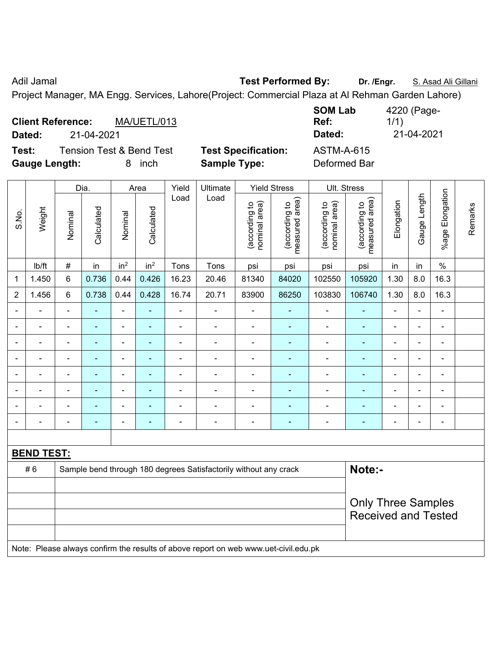Adil Jamal **Test Performed By:** Dr. /Engr. **S. Asad Ali Gillani** Adil Jamal

Project Manager, MA Engg. Services, Lahore(Project: Commercial Plaza at Al Rehman Garden Lahore)

|                          |            |                                     |                            | <b>SOM Lab</b>    | 4220 (Page- |
|--------------------------|------------|-------------------------------------|----------------------------|-------------------|-------------|
| <b>Client Reference:</b> |            | MA/UETL/013                         |                            | Ref:              | 1/1)        |
| Dated:                   | 21-04-2021 |                                     |                            | Dated:            | 21-04-2021  |
| Test:                    |            | <b>Tension Test &amp; Bend Test</b> | <b>Test Specification:</b> | <b>ASTM-A-615</b> |             |
| <b>Gauge Length:</b>     |            | inch<br>8                           | <b>Sample Type:</b>        | Deformed Bar      |             |

|                          |                   |                            | Dia.           |                 | Area            | Yield          | Ultimate                                                                            |                                | <b>Yield Stress</b>             |                                | Ult. Stress                     |                |                |                          |         |
|--------------------------|-------------------|----------------------------|----------------|-----------------|-----------------|----------------|-------------------------------------------------------------------------------------|--------------------------------|---------------------------------|--------------------------------|---------------------------------|----------------|----------------|--------------------------|---------|
| S.No.                    | Weight            | Nominal                    | Calculated     | Nominal         | Calculated      | Load           | Load                                                                                | nominal area)<br>(according to | (according to<br>measured area) | nominal area)<br>(according to | (according to<br>measured area) | Elongation     | Gauge Length   | Elongation<br>$%$ age    | Remarks |
|                          | lb/ft             | $\#$                       | in             | in <sup>2</sup> | in <sup>2</sup> | Tons           | Tons                                                                                | psi                            | psi                             | psi                            | psi                             | in             | in             | $\%$                     |         |
| $\mathbf 1$              | 1.450             | 6                          | 0.736          | 0.44            | 0.426           | 16.23          | 20.46                                                                               | 81340                          | 84020                           | 102550                         | 105920                          | 1.30           | 8.0            | 16.3                     |         |
| $\overline{2}$           | 1.456             | 6                          | 0.738          | 0.44            | 0.428           | 16.74          | 20.71                                                                               | 83900                          | 86250                           | 103830                         | 106740                          | 1.30           | 8.0            | 16.3                     |         |
| $\blacksquare$           | ä,                | $\blacksquare$             | ä,             | $\blacksquare$  | $\blacksquare$  | $\blacksquare$ | $\blacksquare$                                                                      | $\blacksquare$                 | $\blacksquare$                  | $\frac{1}{2}$                  | $\blacksquare$                  | $\blacksquare$ | $\blacksquare$ | $\blacksquare$           |         |
| $\blacksquare$           | $\blacksquare$    | $\blacksquare$             | ÷,             | $\blacksquare$  | $\blacksquare$  | $\blacksquare$ | $\overline{a}$                                                                      | $\blacksquare$                 | $\blacksquare$                  | $\qquad \qquad \blacksquare$   | $\blacksquare$                  | $\overline{a}$ | ä,             | $\blacksquare$           |         |
|                          | $\blacksquare$    | $\blacksquare$             | ÷,             | $\blacksquare$  | $\blacksquare$  | $\blacksquare$ | $\blacksquare$                                                                      | $\blacksquare$                 | $\blacksquare$                  | $\blacksquare$                 | Ξ                               | $\blacksquare$ | i.             | $\blacksquare$           |         |
|                          | $\blacksquare$    | $\blacksquare$             | $\blacksquare$ | ä,              | $\blacksquare$  | $\blacksquare$ | $\blacksquare$                                                                      | $\blacksquare$                 | ÷,                              | ÷.                             | ÷                               |                | ÷              | $\blacksquare$           |         |
|                          |                   |                            | ٠              | $\blacksquare$  |                 |                |                                                                                     | $\overline{\phantom{0}}$       | $\blacksquare$                  | $\blacksquare$                 | ۰                               |                |                | $\blacksquare$           |         |
|                          |                   |                            |                | $\blacksquare$  |                 |                |                                                                                     | $\overline{\phantom{0}}$       |                                 | $\blacksquare$                 | ۰                               |                |                | $\blacksquare$           |         |
|                          |                   |                            | $\blacksquare$ | $\blacksquare$  |                 | $\blacksquare$ | $\blacksquare$                                                                      | $\blacksquare$                 | $\blacksquare$                  | $\overline{a}$                 | ٠                               |                | Ē,             | $\blacksquare$           |         |
| $\overline{\phantom{0}}$ |                   | ٠                          | $\blacksquare$ | $\blacksquare$  | ٠               | $\blacksquare$ | $\overline{\phantom{a}}$                                                            | $\overline{\phantom{a}}$       | $\blacksquare$                  | $\blacksquare$                 | ۰                               | $\blacksquare$ | $\blacksquare$ | $\overline{\phantom{a}}$ |         |
|                          |                   |                            |                |                 |                 |                |                                                                                     |                                |                                 |                                |                                 |                |                |                          |         |
|                          | <b>BEND TEST:</b> |                            |                |                 |                 |                |                                                                                     |                                |                                 |                                |                                 |                |                |                          |         |
|                          | #6                |                            |                |                 |                 |                | Sample bend through 180 degrees Satisfactorily without any crack                    |                                |                                 |                                | Note:-                          |                |                |                          |         |
|                          |                   |                            |                |                 |                 |                |                                                                                     |                                |                                 |                                |                                 |                |                |                          |         |
|                          |                   |                            |                |                 |                 |                | <b>Only Three Samples</b>                                                           |                                |                                 |                                |                                 |                |                |                          |         |
|                          |                   | <b>Received and Tested</b> |                |                 |                 |                |                                                                                     |                                |                                 |                                |                                 |                |                |                          |         |
|                          |                   |                            |                |                 |                 |                | Note: Please always confirm the results of above report on web www.uet-civil.edu.pk |                                |                                 |                                |                                 |                |                |                          |         |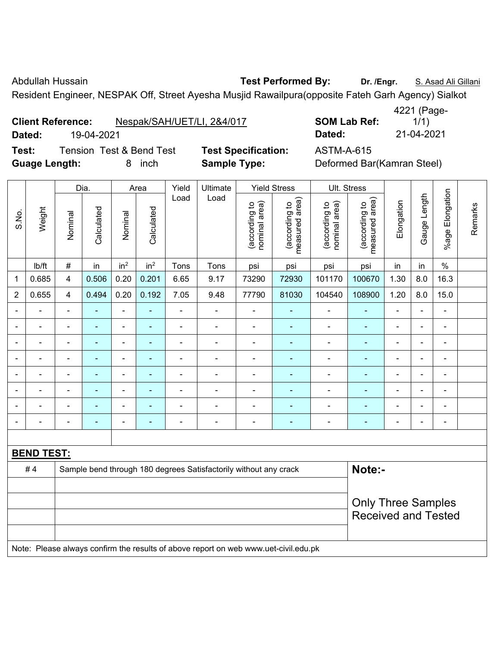Abdullah Hussain **Test Performed By:** Dr. /Engr. **S. Asad Ali Gillani** Abdullah Hussain

Resident Engineer, NESPAK Off, Street Ayesha Musjid Rawailpura(opposite Fateh Garh Agency) Sialkot

**Client Reference:** Nespak/SAH/UET/LI, 2&4/017 **SOM Lab Ref:** 

**Test:** Tension Test & Bend Test **Test Specification:** ASTM-A-615 **Guage Length:** 8 inch **Sample Type:** Deformed Bar(Kamran Steel)

1/1) **Dated:** 19-04-2021 **Dated:** 21-04-2021

|                          |                   |                | Dia.                                                    |                          | Area            | Yield                    | <b>Ultimate</b>                                                                     |                                | <b>Yield Stress</b>             |                                | Ult. Stress                     |                          |                |                 |         |
|--------------------------|-------------------|----------------|---------------------------------------------------------|--------------------------|-----------------|--------------------------|-------------------------------------------------------------------------------------|--------------------------------|---------------------------------|--------------------------------|---------------------------------|--------------------------|----------------|-----------------|---------|
| S.No.                    | Weight            | Nominal        | Calculated                                              | Nominal                  | Calculated      | Load                     | Load                                                                                | nominal area)<br>(according to | (according to<br>measured area) | (according to<br>nominal area) | measured area)<br>(according to | Elongation               | Gauge Length   | %age Elongation | Remarks |
|                          | lb/ft             | #              | in                                                      | in <sup>2</sup>          | in <sup>2</sup> | Tons                     | Tons                                                                                | psi                            | psi                             | psi                            | psi                             | in                       | in             | $\frac{0}{0}$   |         |
| $\mathbf 1$              | 0.685             | 4              | 0.506                                                   | 0.20                     | 0.201           | 6.65                     | 9.17                                                                                | 73290                          | 72930                           | 101170                         | 100670                          | 1.30                     | 8.0            | 16.3            |         |
| $\overline{2}$           | 0.655             | 4              | 0.494                                                   | 0.20                     | 0.192           | 7.05                     | 9.48                                                                                | 77790                          | 81030                           | 104540                         | 108900                          | 1.20                     | 8.0            | 15.0            |         |
|                          |                   |                |                                                         | $\blacksquare$           | ÷,              | ÷                        |                                                                                     | $\blacksquare$                 |                                 | $\blacksquare$                 | $\blacksquare$                  |                          |                |                 |         |
| $\overline{\phantom{0}}$ |                   | $\blacksquare$ | $\blacksquare$                                          | $\blacksquare$           | $\blacksquare$  | $\blacksquare$           | $\blacksquare$                                                                      | $\overline{\phantom{a}}$       | $\blacksquare$                  | $\overline{\phantom{a}}$       | ٠                               | $\blacksquare$           | $\blacksquare$ | $\blacksquare$  |         |
| ÷                        |                   | $\blacksquare$ | ٠                                                       | $\blacksquare$           | $\blacksquare$  | $\overline{\phantom{a}}$ | $\blacksquare$                                                                      | $\blacksquare$                 | $\blacksquare$                  | $\overline{\phantom{a}}$       | $\blacksquare$                  | $\overline{\phantom{a}}$ | $\blacksquare$ | ÷               |         |
|                          |                   | $\blacksquare$ | $\blacksquare$                                          | $\blacksquare$           | $\blacksquare$  | ÷                        | ÷                                                                                   | $\overline{\phantom{a}}$       | $\overline{\phantom{0}}$        | ÷                              | ٠                               | $\blacksquare$           | $\blacksquare$ | ÷               |         |
|                          | $\sim$            | $\blacksquare$ | $\blacksquare$                                          | $\blacksquare$           | ÷,              | $\blacksquare$           | $\blacksquare$                                                                      | $\overline{\phantom{a}}$       | $\blacksquare$                  | $\blacksquare$                 | ٠                               | $\blacksquare$           | $\blacksquare$ | ä,              |         |
|                          |                   | ä,             |                                                         | $\blacksquare$           | Ē,              | $\blacksquare$           | ä,                                                                                  | ä,                             |                                 | $\blacksquare$                 | ä,                              |                          |                | ä,              |         |
|                          |                   |                |                                                         |                          |                 |                          |                                                                                     | $\blacksquare$                 |                                 |                                | $\blacksquare$                  |                          |                |                 |         |
| $\overline{\phantom{0}}$ |                   | $\blacksquare$ | $\blacksquare$                                          | $\overline{\phantom{0}}$ | ÷               | Ē.                       | ٠                                                                                   | $\qquad \qquad \blacksquare$   | $\overline{\phantom{0}}$        | $\blacksquare$                 | ۰                               | $\overline{\phantom{0}}$ | $\blacksquare$ | $\blacksquare$  |         |
|                          |                   |                |                                                         |                          |                 |                          |                                                                                     |                                |                                 |                                |                                 |                          |                |                 |         |
|                          | <b>BEND TEST:</b> |                |                                                         |                          |                 |                          |                                                                                     |                                |                                 |                                |                                 |                          |                |                 |         |
|                          | #4                |                |                                                         |                          |                 |                          | Sample bend through 180 degrees Satisfactorily without any crack                    |                                |                                 |                                | Note:-                          |                          |                |                 |         |
|                          |                   |                |                                                         |                          |                 |                          |                                                                                     |                                |                                 |                                |                                 |                          |                |                 |         |
|                          |                   |                | <b>Only Three Samples</b><br><b>Received and Tested</b> |                          |                 |                          |                                                                                     |                                |                                 |                                |                                 |                          |                |                 |         |
|                          |                   |                |                                                         |                          |                 |                          | Note: Please always confirm the results of above report on web www.uet-civil.edu.pk |                                |                                 |                                |                                 |                          |                |                 |         |

4221 (Page-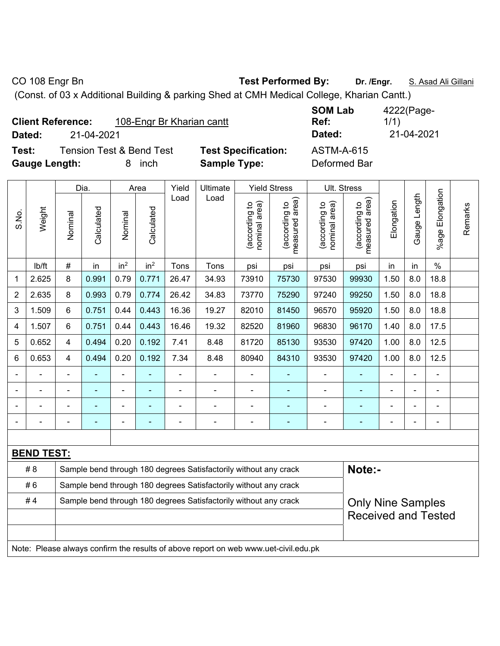CO 108 Engr Bn **Test Performed By:** Dr. /Engr. **S. Asad Ali Gillani** CO 108 Engr Bn

(Const. of 03 x Additional Building & parking Shed at CMH Medical College, Kharian Cantt.)

| <b>Client Reference:</b> | 108-Engr Br Kharian cantt |                            | <b>SUM LAD</b><br>Ref: | 4222 Page-<br>1/1) |
|--------------------------|---------------------------|----------------------------|------------------------|--------------------|
| Dated:                   | 21-04-2021                |                            | Dated:                 | 21-04-2021         |
| Test:                    | Tension Test & Bend Test  | <b>Test Specification:</b> | ASTM-A-615             |                    |

**SOM Lab Ref:**  4222(Page-1/1)

**Gauge Length:** 8 inch **Sample Type:** Deformed Bar

**Testion:** ASTM-A-615

|                |                   |                                                                  | Dia.           |                 | Area            | Yield                    | Ultimate                                                         |                                | <b>Yield Stress</b>                         |                                | Ult. Stress                     |                            |                   |                       |         |
|----------------|-------------------|------------------------------------------------------------------|----------------|-----------------|-----------------|--------------------------|------------------------------------------------------------------|--------------------------------|---------------------------------------------|--------------------------------|---------------------------------|----------------------------|-------------------|-----------------------|---------|
| S.No.          | Weight            | Nominal                                                          | Calculated     | Nominal         | Calculated      | Load                     | Load                                                             | nominal area)<br>(according to | (according to<br>neasured area)<br>measured | nominal area)<br>(according to | measured area)<br>(according to | Elongation                 | Length<br>Gauge I | Elongation<br>$%$ age | Remarks |
|                | lb/ft             | #                                                                | in             | in <sup>2</sup> | in <sup>2</sup> | Tons                     | Tons                                                             | psi                            | psi                                         | psi                            | psi                             | in                         | in                | $\frac{0}{0}$         |         |
| $\mathbf{1}$   | 2.625             | 8                                                                | 0.991          | 0.79            | 0.771           | 26.47                    | 34.93                                                            | 73910                          | 75730                                       | 97530                          | 99930                           | 1.50                       | 8.0               | 18.8                  |         |
| $\overline{2}$ | 2.635             | 8                                                                | 0.993          | 0.79            | 0.774           | 26.42                    | 34.83                                                            | 73770                          | 75290                                       | 97240                          | 99250                           | 1.50                       | 8.0               | 18.8                  |         |
| 3              | 1.509             | 6                                                                | 0.751          | 0.44            | 0.443           | 16.36                    | 19.27                                                            | 82010                          | 81450                                       | 96570                          | 95920                           | 1.50                       | 8.0               | 18.8                  |         |
| $\overline{4}$ | 1.507             | 6                                                                | 0.751          | 0.44            | 0.443           | 16.46                    | 19.32                                                            | 82520                          | 81960                                       | 96830                          | 96170                           | 1.40                       | 8.0               | 17.5                  |         |
| 5              | 0.652             | 4                                                                | 0.494          | 0.20            | 0.192           | 7.41                     | 8.48                                                             | 81720                          | 85130                                       | 93530                          | 97420                           | 1.00                       | 8.0               | 12.5                  |         |
| 6              | 0.653             | 4                                                                | 0.494          | 0.20            | 0.192           | 7.34                     | 8.48                                                             | 80940                          | 84310                                       | 93530                          | 97420                           | 1.00                       | 8.0               | 12.5                  |         |
|                |                   | $\blacksquare$                                                   | $\blacksquare$ | $\blacksquare$  | $\blacksquare$  | $\overline{\phantom{a}}$ | $\overline{\phantom{a}}$                                         | $\overline{\phantom{a}}$       | $\blacksquare$                              | $\overline{\phantom{0}}$       | $\blacksquare$                  | $\blacksquare$             | ä,                | ÷,                    |         |
|                |                   | $\blacksquare$                                                   | ٠              | $\blacksquare$  | ÷               | $\blacksquare$           | $\blacksquare$                                                   | $\blacksquare$                 | ÷                                           | $\qquad \qquad \blacksquare$   | ÷,                              | ä,                         |                   | $\blacksquare$        |         |
|                |                   |                                                                  |                |                 |                 |                          |                                                                  |                                | ÷                                           |                                |                                 |                            |                   |                       |         |
|                |                   | ä,                                                               | $\blacksquare$ | $\blacksquare$  | ÷               | Ē,                       | $\blacksquare$                                                   | $\overline{\phantom{a}}$       | $\blacksquare$                              | $\blacksquare$                 | ÷,                              | ä,                         | $\blacksquare$    | $\blacksquare$        |         |
|                |                   |                                                                  |                |                 |                 |                          |                                                                  |                                |                                             |                                |                                 |                            |                   |                       |         |
|                | <b>BEND TEST:</b> |                                                                  |                |                 |                 |                          |                                                                  |                                |                                             |                                |                                 |                            |                   |                       |         |
|                | # 8               |                                                                  |                |                 |                 |                          | Sample bend through 180 degrees Satisfactorily without any crack |                                |                                             |                                | Note:-                          |                            |                   |                       |         |
|                | #6                | Sample bend through 180 degrees Satisfactorily without any crack |                |                 |                 |                          |                                                                  |                                |                                             |                                |                                 |                            |                   |                       |         |
|                | #4                | Sample bend through 180 degrees Satisfactorily without any crack |                |                 |                 |                          |                                                                  |                                |                                             |                                | <b>Only Nine Samples</b>        |                            |                   |                       |         |
|                |                   |                                                                  |                |                 |                 |                          |                                                                  |                                |                                             |                                |                                 | <b>Received and Tested</b> |                   |                       |         |
|                |                   |                                                                  |                |                 |                 |                          |                                                                  |                                |                                             |                                |                                 |                            |                   |                       |         |

Note: Please always confirm the results of above report on web www.uet-civil.edu.pk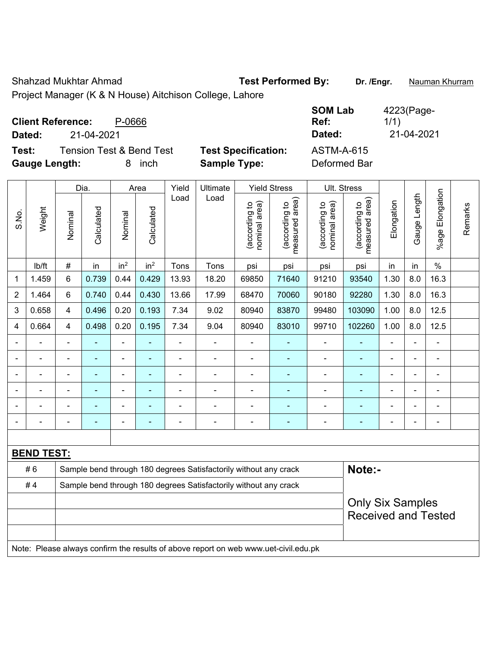Shahzad Mukhtar Ahmad **Test Performed By:** Dr. /Engr. **Nauman Khurram** 

Project Manager (K & N House) Aitchison College, Lahore

| <b>Client Reference:</b> |            | P-0666                              |                            | <b>SOM Lab</b><br>Ref: | 4223(Page-<br>1/1) |
|--------------------------|------------|-------------------------------------|----------------------------|------------------------|--------------------|
| Dated:                   | 21-04-2021 |                                     |                            | Dated:                 | 21-04-2021         |
| Test:                    |            | <b>Tension Test &amp; Bend Test</b> | <b>Test Specification:</b> | <b>ASTM-A-615</b>      |                    |
| <b>Gauge Length:</b>     |            | inch                                | <b>Sample Type:</b>        | Deformed Bar           |                    |

|                |                   |                            | Dia.           |                          | Area                     | Yield          | Ultimate                                                                            |                                | <b>Yield Stress</b>             |                                | Ult. Stress                     |                |                |                 |         |
|----------------|-------------------|----------------------------|----------------|--------------------------|--------------------------|----------------|-------------------------------------------------------------------------------------|--------------------------------|---------------------------------|--------------------------------|---------------------------------|----------------|----------------|-----------------|---------|
| S.No.          | Weight            | Nominal                    | Calculated     | Nominal                  | Calculated               | Load           | Load                                                                                | nominal area)<br>(according to | (according to<br>measured area) | nominal area)<br>(according to | measured area)<br>(according to | Elongation     | Gauge Length   | %age Elongation | Remarks |
|                | lb/ft             | $\#$                       | in             | in <sup>2</sup>          | in <sup>2</sup>          | Tons           | Tons                                                                                | psi                            | psi                             | psi                            | psi                             | in             | in             | $\%$            |         |
| 1              | 1.459             | 6                          | 0.739          | 0.44                     | 0.429                    | 13.93          | 18.20                                                                               | 69850                          | 71640                           | 91210                          | 93540                           | 1.30           | 8.0            | 16.3            |         |
| $\overline{2}$ | 1.464             | 6                          | 0.740          | 0.44                     | 0.430                    | 13.66          | 17.99                                                                               | 68470                          | 70060                           | 90180                          | 92280                           | 1.30           | 8.0            | 16.3            |         |
| 3              | 0.658             | $\overline{4}$             | 0.496          | 0.20                     | 0.193                    | 7.34           | 9.02                                                                                | 80940                          | 83870                           | 99480                          | 103090                          | 1.00           | 8.0            | 12.5            |         |
| $\overline{4}$ | 0.664             | $\overline{\mathbf{4}}$    | 0.498          | 0.20                     | 0.195                    | 7.34           | 9.04                                                                                | 80940                          | 83010                           | 99710                          | 102260                          | 1.00           | 8.0            | 12.5            |         |
|                | ÷                 | $\blacksquare$             | ÷,             | $\blacksquare$           | $\blacksquare$           | L,             | ä,                                                                                  | $\blacksquare$                 | ÷,                              | ÷,                             | ä,                              | $\blacksquare$ | ä,             | ä,              |         |
|                | $\blacksquare$    |                            | $\blacksquare$ | $\overline{\phantom{a}}$ | $\overline{\phantom{a}}$ | $\blacksquare$ | $\blacksquare$                                                                      | $\blacksquare$                 | $\blacksquare$                  | $\blacksquare$                 | $\blacksquare$                  |                | $\blacksquare$ | $\blacksquare$  |         |
|                |                   |                            | $\overline{a}$ | ÷                        |                          |                | ä,                                                                                  | $\blacksquare$                 | $\blacksquare$                  | $\blacksquare$                 | $\blacksquare$                  |                | ÷              | $\blacksquare$  |         |
|                |                   |                            |                | ÷                        |                          |                | $\blacksquare$                                                                      | ä,                             | ÷                               | $\blacksquare$                 | ä,                              |                | ä,             | ÷               |         |
|                |                   |                            |                | ÷                        |                          |                | $\blacksquare$                                                                      | $\blacksquare$                 | ۳                               | $\blacksquare$                 | L.                              |                | ÷              | $\blacksquare$  |         |
|                |                   |                            |                | $\blacksquare$           |                          |                | $\blacksquare$                                                                      | $\blacksquare$                 | $\blacksquare$                  | ۰                              | $\blacksquare$                  |                | ÷,             | $\overline{a}$  |         |
|                |                   |                            |                |                          |                          |                |                                                                                     |                                |                                 |                                |                                 |                |                |                 |         |
|                | <b>BEND TEST:</b> |                            |                |                          |                          |                |                                                                                     |                                |                                 |                                |                                 |                |                |                 |         |
|                | #6                |                            |                |                          |                          |                | Sample bend through 180 degrees Satisfactorily without any crack                    |                                |                                 |                                | Note:-                          |                |                |                 |         |
|                | #4                |                            |                |                          |                          |                | Sample bend through 180 degrees Satisfactorily without any crack                    |                                |                                 |                                |                                 |                |                |                 |         |
|                |                   | <b>Only Six Samples</b>    |                |                          |                          |                |                                                                                     |                                |                                 |                                |                                 |                |                |                 |         |
|                |                   | <b>Received and Tested</b> |                |                          |                          |                |                                                                                     |                                |                                 |                                |                                 |                |                |                 |         |
|                |                   |                            |                |                          |                          |                |                                                                                     |                                |                                 |                                |                                 |                |                |                 |         |
|                |                   |                            |                |                          |                          |                | Note: Please always confirm the results of above report on web www.uet-civil.edu.pk |                                |                                 |                                |                                 |                |                |                 |         |